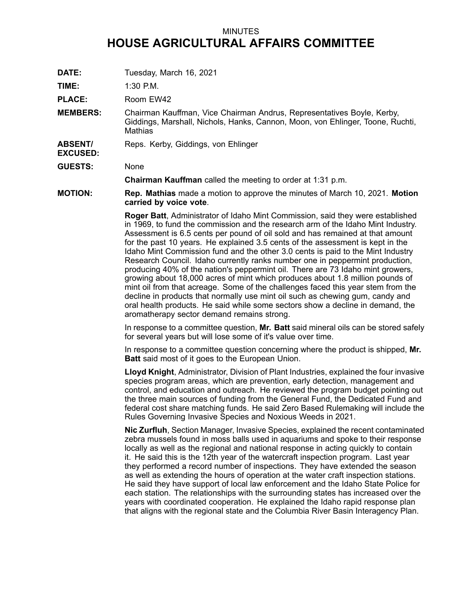## MINUTES **HOUSE AGRICULTURAL AFFAIRS COMMITTEE**

**DATE:** Tuesday, March 16, 2021

**TIME:** 1:30 P.M.

PLACE: Room EW42

**MEMBERS:** Chairman Kauffman, Vice Chairman Andrus, Representatives Boyle, Kerby, Giddings, Marshall, Nichols, Hanks, Cannon, Moon, von Ehlinger, Toone, Ruchti, **Mathias** 

- **ABSENT/** Reps. Kerby, Giddings, von Ehlinger
- **GUESTS:** None

**EXCUSED:**

**Chairman Kauffman** called the meeting to order at 1:31 p.m.

**MOTION: Rep. Mathias** made <sup>a</sup> motion to approve the minutes of March 10, 2021. **Motion carried by voice vote**.

> **Roger Batt**, Administrator of Idaho Mint Commission, said they were established in 1969, to fund the commission and the research arm of the Idaho Mint Industry. Assessment is 6.5 cents per pound of oil sold and has remained at that amount for the past 10 years. He explained 3.5 cents of the assessment is kept in the Idaho Mint Commission fund and the other 3.0 cents is paid to the Mint Industry Research Council. Idaho currently ranks number one in peppermint production, producing 40% of the nation's peppermint oil. There are 73 Idaho mint growers, growing about 18,000 acres of mint which produces about 1.8 million pounds of mint oil from that acreage. Some of the challenges faced this year stem from the decline in products that normally use mint oil such as chewing gum, candy and oral health products. He said while some sectors show <sup>a</sup> decline in demand, the aromatherapy sector demand remains strong.

In response to <sup>a</sup> committee question, **Mr. Batt** said mineral oils can be stored safely for several years but will lose some of it's value over time.

In response to <sup>a</sup> committee question concerning where the product is shipped, **Mr. Batt** said most of it goes to the European Union.

**Lloyd Knight**, Administrator, Division of Plant Industries, explained the four invasive species program areas, which are prevention, early detection, management and control, and education and outreach. He reviewed the program budget pointing out the three main sources of funding from the General Fund, the Dedicated Fund and federal cost share matching funds. He said Zero Based Rulemaking will include the Rules Governing Invasive Species and Noxious Weeds in 2021.

**Nic Zurfluh**, Section Manager, Invasive Species, explained the recent contaminated zebra mussels found in moss balls used in aquariums and spoke to their response locally as well as the regional and national response in acting quickly to contain it. He said this is the 12th year of the watercraft inspection program. Last year they performed <sup>a</sup> record number of inspections. They have extended the season as well as extending the hours of operation at the water craft inspection stations. He said they have support of local law enforcement and the Idaho State Police for each station. The relationships with the surrounding states has increased over the years with coordinated cooperation. He explained the Idaho rapid response plan that aligns with the regional state and the Columbia River Basin Interagency Plan.